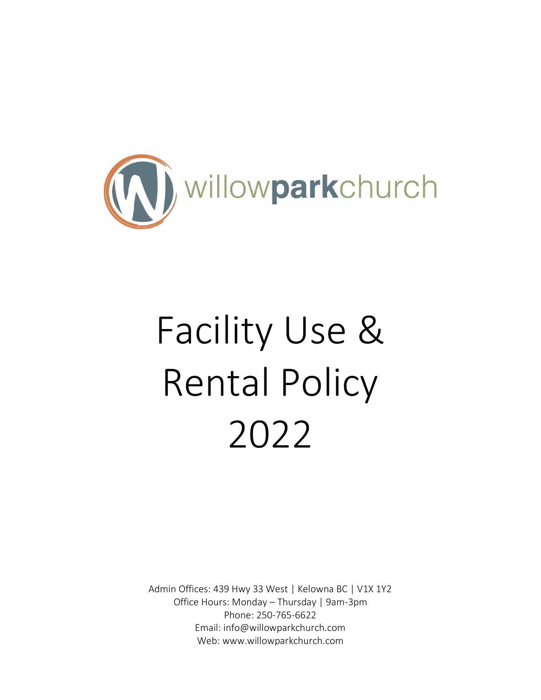

# Facility Use & Rental Policy 2022

Admin Offices: 439 Hwy 33 West | Kelowna BC | V1X 1Y2 Office Hours: Monday – Thursday | 9am-3pm Phone: 250-765-6622 Email: info@willowparkchurch.com Web: www.willowparkchurch.com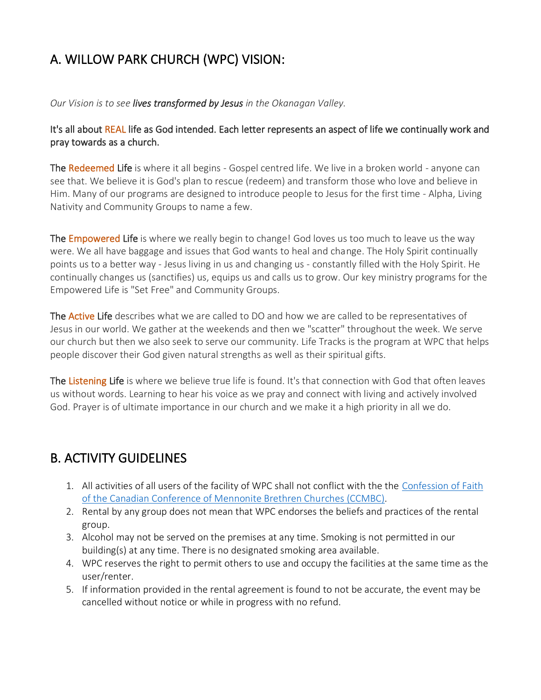# A. WILLOW PARK CHURCH (WPC) VISION:

*Our Vision is to see lives transformed by Jesus in the Okanagan Valley.*

It's all about REAL life as God intended. Each letter represents an aspect of life we continually work and pray towards as a church.

The Redeemed Life is where it all begins - Gospel centred life. We live in a broken world - anyone can see that. We believe it is God's plan to rescue (redeem) and transform those who love and believe in Him. Many of our programs are designed to introduce people to Jesus for the first time - Alpha, Living Nativity and Community Groups to name a few.

The **Empowered Life** is where we really begin to change! God loves us too much to leave us the way were. We all have baggage and issues that God wants to heal and change. The Holy Spirit continually points us to a better way - Jesus living in us and changing us - constantly filled with the Holy Spirit. He continually changes us (sanctifies) us, equips us and calls us to grow. Our key ministry programs for the Empowered Life is "Set Free" and Community Groups.

The Active Life describes what we are called to DO and how we are called to be representatives of Jesus in our world. We gather at the weekends and then we "scatter" throughout the week. We serve our church but then we also seek to serve our community. Life Tracks is the program at WPC that helps people discover their God given natural strengths as well as their spiritual gifts.

The Listening Life is where we believe true life is found. It's that connection with God that often leaves us without words. Learning to hear his voice as we pray and connect with living and actively involved God. Prayer is of ultimate importance in our church and we make it a high priority in all we do.

## B. ACTIVITY GUIDELINES

- 1. All activities of all users of the facility of WPC shall not conflict with the the Confession of Faith [of the Canadian Conference of Mennonite Brethren Churches \(CCMBC\).](https://www.mennonitebrethren.ca/mb-convictions/the-mb-confession-of-faith-brief-edition/)
- 2. Rental by any group does not mean that WPC endorses the beliefs and practices of the rental group.
- 3. Alcohol may not be served on the premises at any time. Smoking is not permitted in our building(s) at any time. There is no designated smoking area available.
- 4. WPC reserves the right to permit others to use and occupy the facilities at the same time as the user/renter.
- 5. If information provided in the rental agreement is found to not be accurate, the event may be cancelled without notice or while in progress with no refund.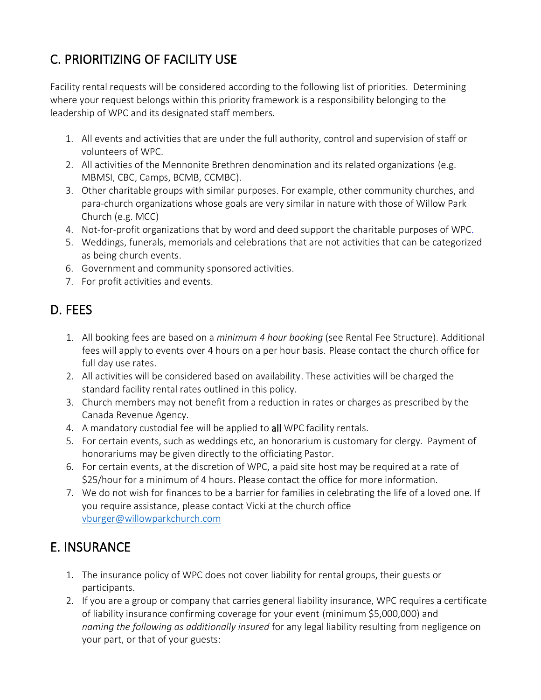# C. PRIORITIZING OF FACILITY USE

Facility rental requests will be considered according to the following list of priorities. Determining where your request belongs within this priority framework is a responsibility belonging to the leadership of WPC and its designated staff members.

- 1. All events and activities that are under the full authority, control and supervision of staff or volunteers of WPC.
- 2. All activities of the Mennonite Brethren denomination and its related organizations (e.g. MBMSI, CBC, Camps, BCMB, CCMBC).
- 3. Other charitable groups with similar purposes. For example, other community churches, and para-church organizations whose goals are very similar in nature with those of Willow Park Church (e.g. MCC)
- 4. Not-for-profit organizations that by word and deed support the charitable purposes of WPC.
- 5. Weddings, funerals, memorials and celebrations that are not activities that can be categorized as being church events.
- 6. Government and community sponsored activities.
- 7. For profit activities and events.

# D. FEES

- 1. All booking fees are based on a *minimum 4 hour booking* (see Rental Fee Structure). Additional fees will apply to events over 4 hours on a per hour basis. Please contact the church office for full day use rates.
- 2. All activities will be considered based on availability. These activities will be charged the standard facility rental rates outlined in this policy.
- 3. Church members may not benefit from a reduction in rates or charges as prescribed by the Canada Revenue Agency.
- 4. A mandatory custodial fee will be applied to all WPC facility rentals.
- 5. For certain events, such as weddings etc, an honorarium is customary for clergy. Payment of honorariums may be given directly to the officiating Pastor.
- 6. For certain events, at the discretion of WPC, a paid site host may be required at a rate of \$25/hour for a minimum of 4 hours. Please contact the office for more information.
- 7. We do not wish for finances to be a barrier for families in celebrating the life of a loved one. If you require assistance, please contact Vicki at the church office [vburger@willowparkchurch.com](mailto:vburger@willowparkchurch.com)

## E. INSURANCE

- 1. The insurance policy of WPC does not cover liability for rental groups, their guests or participants.
- 2. If you are a group or company that carries general liability insurance, WPC requires a certificate of liability insurance confirming coverage for your event (minimum \$5,000,000) and *naming the following as additionally insured* for any legal liability resulting from negligence on your part, or that of your guests: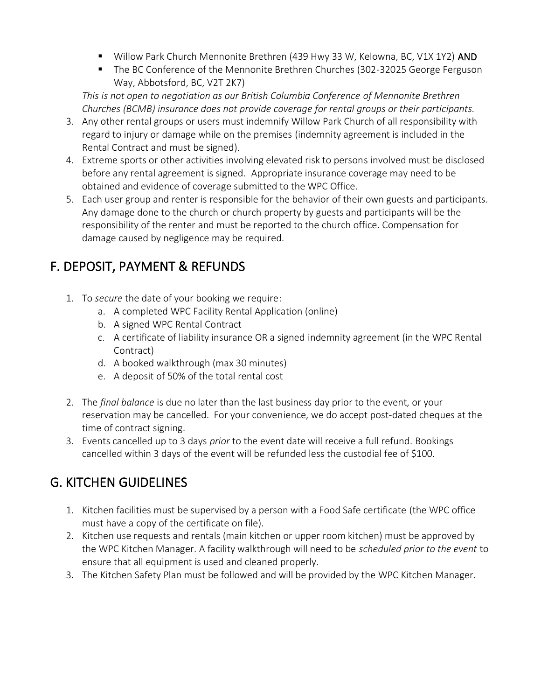- Willow Park Church Mennonite Brethren (439 Hwy 33 W, Kelowna, BC, V1X 1Y2) AND
- The BC Conference of the Mennonite Brethren Churches (302-32025 George Ferguson Way, Abbotsford, BC, V2T 2K7)

*This is not open to negotiation as our British Columbia Conference of Mennonite Brethren Churches (BCMB) insurance does not provide coverage for rental groups or their participants.*

- 3. Any other rental groups or users must indemnify Willow Park Church of all responsibility with regard to injury or damage while on the premises (indemnity agreement is included in the Rental Contract and must be signed).
- 4. Extreme sports or other activities involving elevated risk to persons involved must be disclosed before any rental agreement is signed. Appropriate insurance coverage may need to be obtained and evidence of coverage submitted to the WPC Office.
- 5. Each user group and renter is responsible for the behavior of their own guests and participants. Any damage done to the church or church property by guests and participants will be the responsibility of the renter and must be reported to the church office. Compensation for damage caused by negligence may be required.

# F. DEPOSIT, PAYMENT & REFUNDS

- 1. To *secure* the date of your booking we require:
	- a. A completed WPC Facility Rental Application (online)
	- b. A signed WPC Rental Contract
	- c. A certificate of liability insurance OR a signed indemnity agreement (in the WPC Rental Contract)
	- d. A booked walkthrough (max 30 minutes)
	- e. A deposit of 50% of the total rental cost
- 2. The *final balance* is due no later than the last business day prior to the event, or your reservation may be cancelled. For your convenience, we do accept post-dated cheques at the time of contract signing.
- 3. Events cancelled up to 3 days *prior* to the event date will receive a full refund. Bookings cancelled within 3 days of the event will be refunded less the custodial fee of \$100.

# G. KITCHEN GUIDELINES

- 1. Kitchen facilities must be supervised by a person with a Food Safe certificate (the WPC office must have a copy of the certificate on file).
- 2. Kitchen use requests and rentals (main kitchen or upper room kitchen) must be approved by the WPC Kitchen Manager. A facility walkthrough will need to be *scheduled prior to the event* to ensure that all equipment is used and cleaned properly.
- 3. The Kitchen Safety Plan must be followed and will be provided by the WPC Kitchen Manager.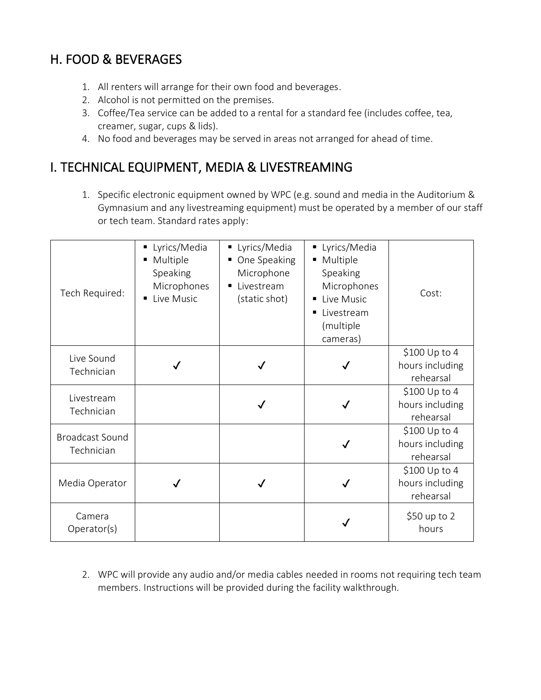# H. FOOD & BEVERAGES

- 1. All renters will arrange for their own food and beverages.
- 2. Alcohol is not permitted on the premises.
- 3. Coffee/Tea service can be added to a rental for a standard fee (includes coffee, tea, creamer, sugar, cups & lids).
- 4. No food and beverages may be served in areas not arranged for ahead of time.

## I. TECHNICAL EQUIPMENT, MEDIA & LIVESTREAMING

1. Specific electronic equipment owned by WPC (e.g. sound and media in the Auditorium & Gymnasium and any livestreaming equipment) must be operated by a member of our staff or tech team. Standard rates apply:

| Tech Required:                       | Lyrics/Media<br>Multiple<br>Speaking<br>Microphones<br>Live Music | Lyrics/Media<br>п<br>One Speaking<br>Microphone<br>Livestream<br>(static shot) | Lyrics/Media<br>Е<br>Multiple<br>п<br>Speaking<br>Microphones<br>Live Music<br>п<br>Livestream<br>п<br>(multiple<br>cameras) | Cost:                                         |
|--------------------------------------|-------------------------------------------------------------------|--------------------------------------------------------------------------------|------------------------------------------------------------------------------------------------------------------------------|-----------------------------------------------|
| Live Sound<br>Technician             |                                                                   |                                                                                |                                                                                                                              | \$100 Up to 4<br>hours including<br>rehearsal |
| Livestream<br>Technician             |                                                                   |                                                                                |                                                                                                                              | \$100 Up to 4<br>hours including<br>rehearsal |
| <b>Broadcast Sound</b><br>Technician |                                                                   |                                                                                |                                                                                                                              | \$100 Up to 4<br>hours including<br>rehearsal |
| Media Operator                       |                                                                   |                                                                                |                                                                                                                              | \$100 Up to 4<br>hours including<br>rehearsal |
| Camera<br>Operator(s)                |                                                                   |                                                                                |                                                                                                                              | \$50 up to 2<br>hours                         |

2. WPC will provide any audio and/or media cables needed in rooms not requiring tech team members. Instructions will be provided during the facility walkthrough.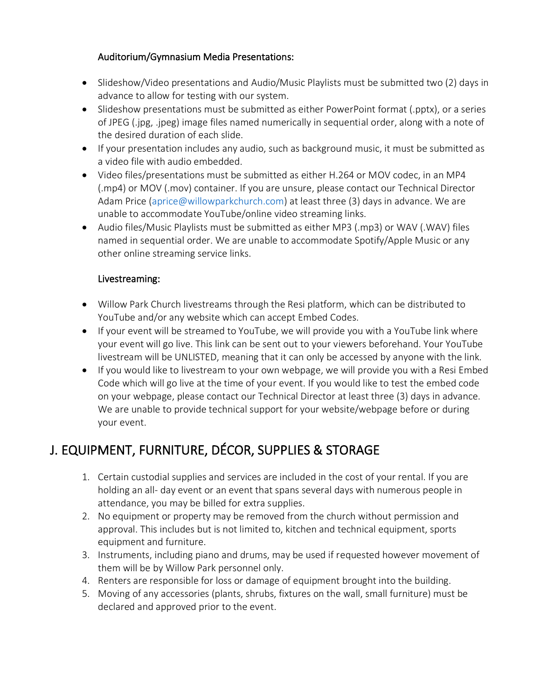#### Auditorium/Gymnasium Media Presentations:

- Slideshow/Video presentations and Audio/Music Playlists must be submitted two (2) days in advance to allow for testing with our system.
- Slideshow presentations must be submitted as either PowerPoint format (.pptx), or a series of JPEG (.jpg, .jpeg) image files named numerically in sequential order, along with a note of the desired duration of each slide.
- If your presentation includes any audio, such as background music, it must be submitted as a video file with audio embedded.
- Video files/presentations must be submitted as either H.264 or MOV codec, in an MP4 (.mp4) or MOV (.mov) container. If you are unsure, please contact our Technical Director Adam Price (aprice@willowparkchurch.com) at least three (3) days in advance. We are unable to accommodate YouTube/online video streaming links.
- Audio files/Music Playlists must be submitted as either MP3 (.mp3) or WAV (.WAV) files named in sequential order. We are unable to accommodate Spotify/Apple Music or any other online streaming service links.

#### Livestreaming:

- Willow Park Church livestreams through the Resi platform, which can be distributed to YouTube and/or any website which can accept Embed Codes.
- If your event will be streamed to YouTube, we will provide you with a YouTube link where your event will go live. This link can be sent out to your viewers beforehand. Your YouTube livestream will be UNLISTED, meaning that it can only be accessed by anyone with the link.
- If you would like to livestream to your own webpage, we will provide you with a Resi Embed Code which will go live at the time of your event. If you would like to test the embed code on your webpage, please contact our Technical Director at least three (3) days in advance. We are unable to provide technical support for your website/webpage before or during your event.

# J. EQUIPMENT, FURNITURE, DÉCOR, SUPPLIES & STORAGE

- 1. Certain custodial supplies and services are included in the cost of your rental. If you are holding an all- day event or an event that spans several days with numerous people in attendance, you may be billed for extra supplies.
- 2. No equipment or property may be removed from the church without permission and approval. This includes but is not limited to, kitchen and technical equipment, sports equipment and furniture.
- 3. Instruments, including piano and drums, may be used if requested however movement of them will be by Willow Park personnel only.
- 4. Renters are responsible for loss or damage of equipment brought into the building.
- 5. Moving of any accessories (plants, shrubs, fixtures on the wall, small furniture) must be declared and approved prior to the event.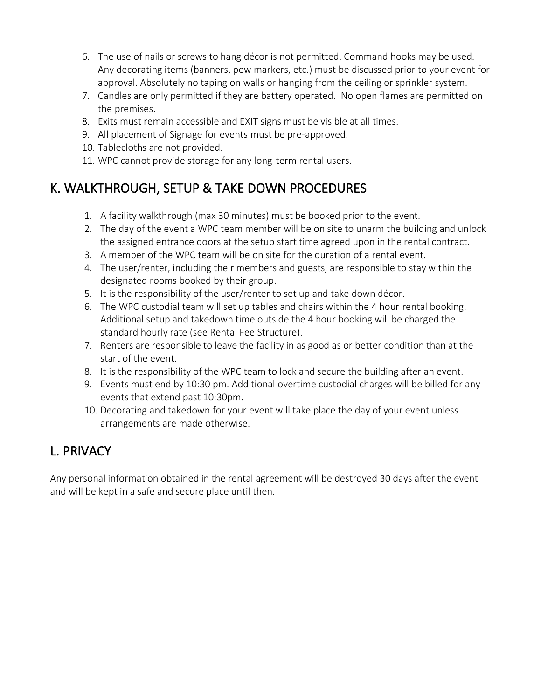- 6. The use of nails or screws to hang décor is not permitted. Command hooks may be used. Any decorating items (banners, pew markers, etc.) must be discussed prior to your event for approval. Absolutely no taping on walls or hanging from the ceiling or sprinkler system.
- 7. Candles are only permitted if they are battery operated. No open flames are permitted on the premises.
- 8. Exits must remain accessible and EXIT signs must be visible at all times.
- 9. All placement of Signage for events must be pre-approved.
- 10. Tablecloths are not provided.
- 11. WPC cannot provide storage for any long-term rental users.

# K. WALKTHROUGH, SETUP & TAKE DOWN PROCEDURES

- 1. A facility walkthrough (max 30 minutes) must be booked prior to the event.
- 2. The day of the event a WPC team member will be on site to unarm the building and unlock the assigned entrance doors at the setup start time agreed upon in the rental contract.
- 3. A member of the WPC team will be on site for the duration of a rental event.
- 4. The user/renter, including their members and guests, are responsible to stay within the designated rooms booked by their group.
- 5. It is the responsibility of the user/renter to set up and take down décor.
- 6. The WPC custodial team will set up tables and chairs within the 4 hour rental booking. Additional setup and takedown time outside the 4 hour booking will be charged the standard hourly rate (see Rental Fee Structure).
- 7. Renters are responsible to leave the facility in as good as or better condition than at the start of the event.
- 8. It is the responsibility of the WPC team to lock and secure the building after an event.
- 9. Events must end by 10:30 pm. Additional overtime custodial charges will be billed for any events that extend past 10:30pm.
- 10. Decorating and takedown for your event will take place the day of your event unless arrangements are made otherwise.

# L. PRIVACY

Any personal information obtained in the rental agreement will be destroyed 30 days after the event and will be kept in a safe and secure place until then.